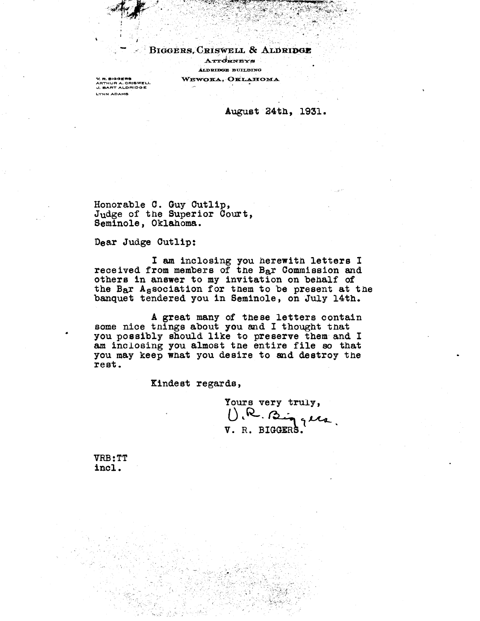BIGGERS, CRISWELL & ALDRIDGE ATTORNEYS **ALDRIDGE BUILDING** WEWOKA, OKLAHOMA

V. R. BIGGERS<br>ARTHUR A. CRISWELL<br>J. BART ALDRIDGE LYNN ADAMS

August 24th, 1931.

Honorable C. Guy Cutlip, Judge of the Superior Court, Seminole, Oklahoma.

Dear Judge Cutlip:

**I am** inclosing you herewith letters I received from members of the B<sub>a</sub>r Commission and others in answer to my invitation on behalf of the Bar Association for them to be present at the banquet tendered you in Seminole, on July 14th.

A great many of these letters contain some nice things about you and I thought that you possibly should like to preserve them and I am inclosing you almost the entire file so that you may keep what you desire to and destroy the rest.

Kindest regards,

Yours very truly, V. R. **BIGGER.**

VRB:TT incl.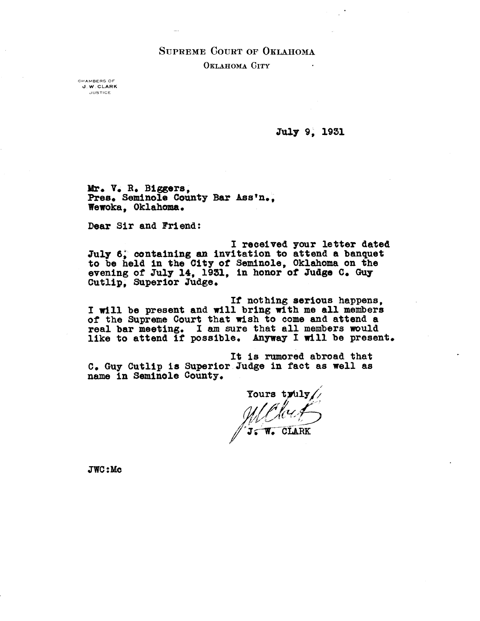# **SUPREME COURT OF OKLAHOMA OKLAHOMA CITY**

**CHAMBERS OF J. W. CLARK JUSTICE**

July 9, 1931

**Mr. V. R. Biggers,** Pres. Seminole County Bar Ass'n., **Wewoka, Oklahoma.**

**Dear Sir and Friend:**

**I received your letter dated** July 6. containing an invitation to attend a banquet **to be held in the City of Seminole, Oklahoma on the evening of July 14, 1931, in honor of Judge C. Guy Cutlip, Superior Judge.**

**If nothing serious happens, I will be present and will bring with me all members of the Supreme Court that wish to come and attend a real bar meeting. I am sure that all members would like to attend if possible. Anyway I will be present.**

**It is rumored abroad that C. Guy Cutlip is Superior Judge in fact as well as name in Seminole County.**

Yours truly/ Yours truly/<br> *MClcut*<br> *J*: W. CLARK

**JWC : Me**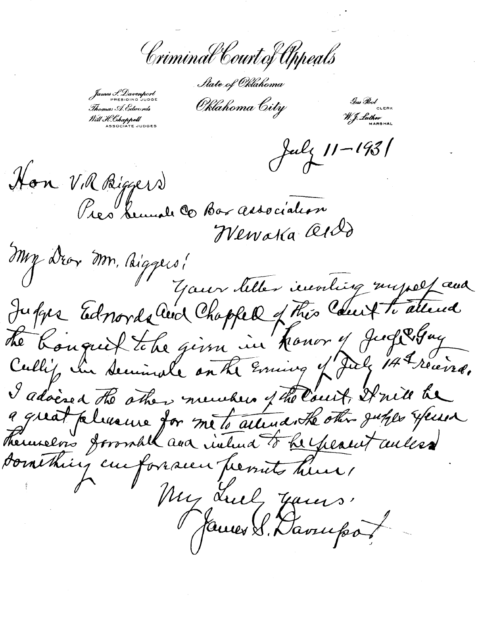Criminal Court of Appeals

*^/f2Ce-^V^fa^hrnnm*

PRESIDING JUDGE **AAAA** A *e%ltdf/d 6: J:G.ICYld* CLERK

Will H. Chappell<br>ASSOCIATE JUDGES

July 11-1931

Hon V.R Biggers<br>Pres bunale C Box association

My Dror Mn, Biggers! *Il your letter involting myself aux* in honor y Jud 2 Guy The bought the given in honor of Judgeguy I adoised the other members of the Court, It will be there en formall and intend to he peacent willes something curforacen permits hun, My Lucy James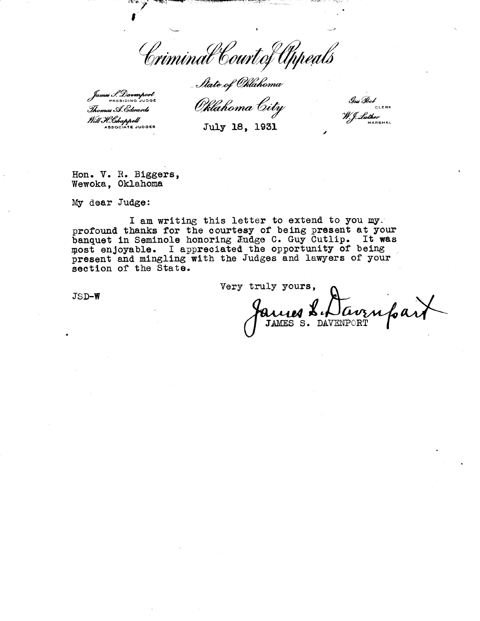Criminal Court of Appeals

Itate of Oklahoma

*mes J. Davenport Thomas A. Edwards<br>Will H. Chappell*<br>ASSOCIATE JUDGES

Oklahoma City

Gus Bol ELERK<br>W. J. Luther **MARSHAL**

**ASSOCIATE JUDGES July 18, 1931**

Hon. V. R. Biggers, Wewoka, Oklahoma

My dear **Judge:**

I am writing this letter to extend to you myr profound thanks for the courtesy of being present at your banquet in Seminole honoring Eudge C. Guy Cutlip. It was most enjoyable. I appreciated the opportunity of being present and mingling with the Judges and lawyers of your section of the State.

JS D-W

Very truly yours, lavzn JAMES S. DAVENPORT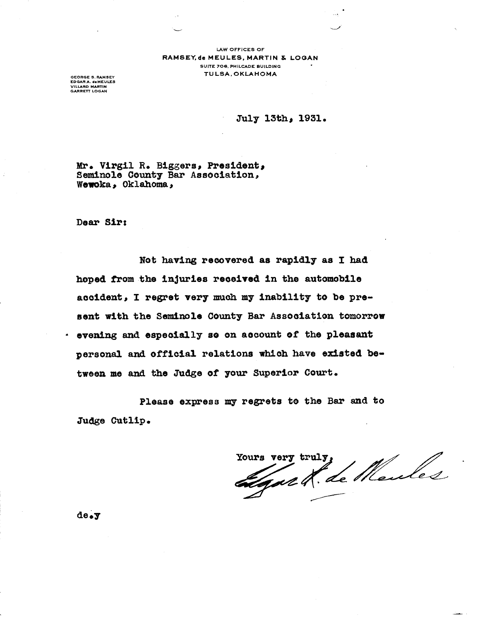LAW OFFICES OF RAMSEY, de MEULES, MARTIN & LOGAN SUITE 706, PHILCADE BUILDING TULSA, OKLAHOMA

EDGAR A. deMEULE<mark>S</mark><br>VILLARD MARTIN<br>GARRETT LOGAN

July 13th, 1931.

Mr. **Virgil** R. Biggers, **President, Seminole County** Bar Association, Wewoka, Oklahoma,

Dear Sir:

Not having **recovered** as rapidly as I had **hoped from the injuries received in the automobile accident, I regret very** much my inability to be present with the **Seminole** County Bar **Association** tomorrow **evening and especially so** on account of the pleasant **personal and official** relations which have **existed be**tween me and the Judge of your Superior Court.

Please express my regrets to the Bar and to Judge Cutlip.

Yours very truly,

**de.y**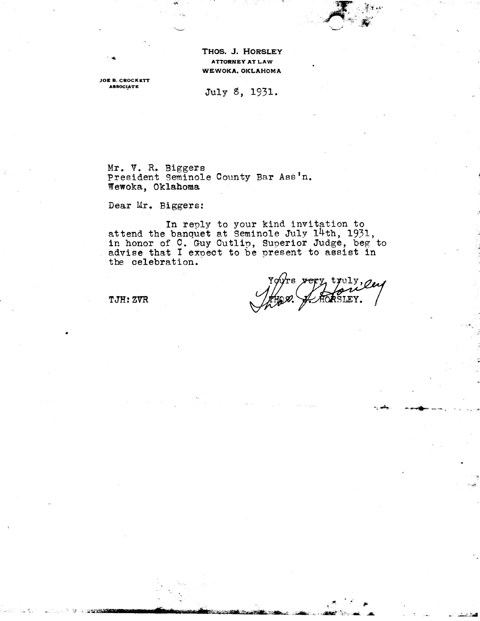THOS. J. HORSLEY **ATTORNEY AT LAW WEWOKA, OKLAHOMA**

**JOE B. CROCKETT**

ASSOCIATE July 8, 1931.

Mr. V. R. Biggers President Seminole County Bar Ass'n. Wewoka, Oklahoma

Dear Mr. Biggers:

In reply to your kind invitation to attend the banquet at Seminole July 14th, 1931, in honor of  $\overline{C}$ . Guy Cutlip, Superior Judge, beg to In honor of o. Guy cutify, superfor Judge, begins the celebration.

truly, enf EY.

TJH: ZVR

•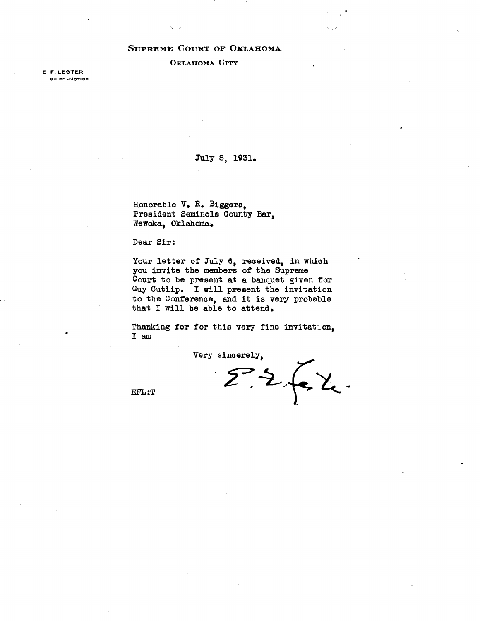### SUPREME COURT OF OKLAHOMA.

**OKLAHOMA CITY**

E. F. LESTER CHIEF JUSTICE

### 7uly 8, 1931.

Honorable V. R. Biggers, President Seminole County Bar, Wewoka, Oklahoma.

Dear Sir:

Your letter of July 6, received, in which you invite the members of the Supreme Court to be present at a banquet given for Guy Cutlip. I will present the invitation to the Conference, and **it is very** probable that I will be able to attend.

Thanking for for this very fine invitation, lam

Very sincerely,  $\sum \sum \sum$ 

U

EFL:T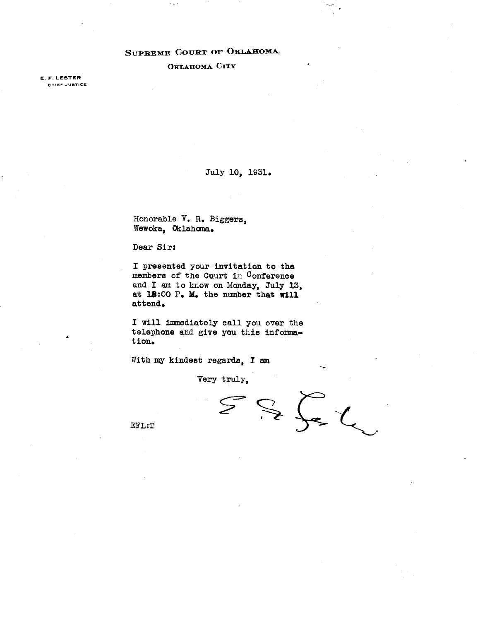# SUPREME COURT OF OKLAHOMA.

### **OKLAHOMA CITY**

**E. F.LESTER** CHIEF JUSTICE

### Tuly 10, 1931.

Honorable V. R. Biggers, Wewoka, Oklahoma.

### Dear Sir:

I presented your invitation to the members of the Court in Conference and I am to know on Monday, Tuly 13, at 18:00 P. M. the number that will attend.

I will immediately call you over the telephone and give you this information.

With my kindest regards, **I am**

Very truly,

 $S = \sum_{i=1}^{n} \sum_{i=1}^{n} \lambda_i$  $\mathcal{S}$ 

EFL:T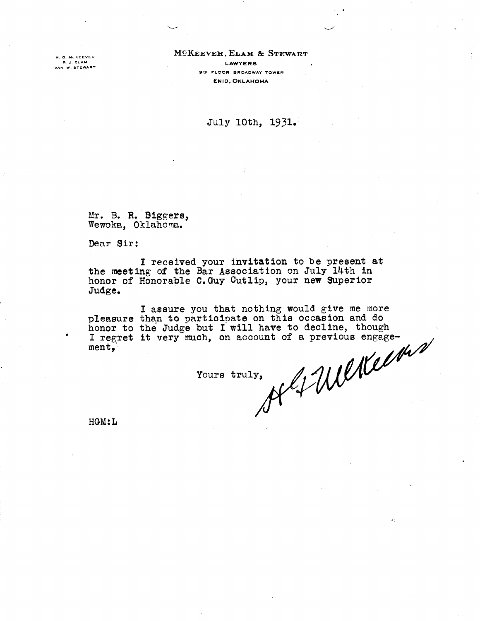.<br>H. G. McKEEVER<br>R. J. ELAM<br>VAN W. STEWART

### McKEEVER , ELAM & STEWART R.J-ELAM **LAWYERS 9th FLOOR BROADWAY TOWER** *EN ID,* OKLAHOMA

# July 10th, 1931.

Mr. B. R. Biggers, Wewoka, Oklahoma.

Dear Sir:

I received your invitation to be present at the meeting of the Bar Association on July 14th **in** honor of Honorable C.Guy Cutlip, your new Superior Judge.

I assure you that nothing would give me more pleasure than to participate on this occasion and do<br>honor to the Judge but I will have to decline, though<br>I regret it very much, on account of a previous engage-<br>ment,<br>Yours truly, honor to the Judge but I will have to decline, though I regret it very much, on account of a previous engagement,

Yours truly,

HGM:L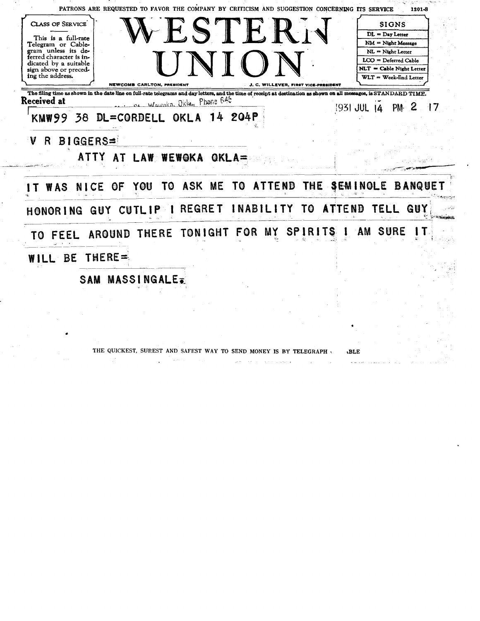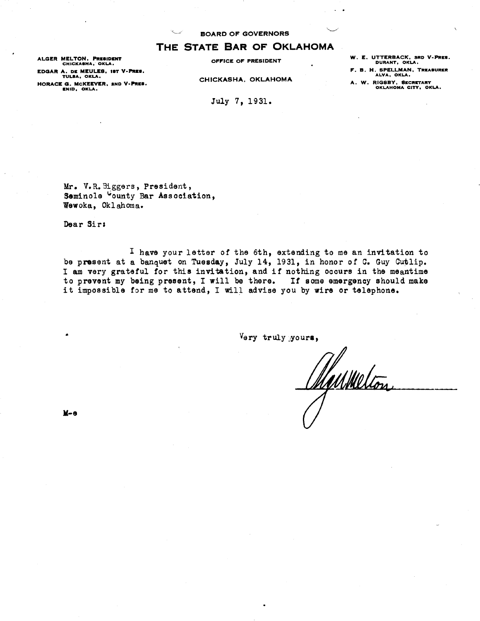# **THE STATE BAR OF OKLAHOMA**<br>CHICKASHA, OKLA.<br>A. DE MEULER. 187 V-PRES.

**ALGER MELTON, PRESIDENT EDGAR A. D[ MEULES, IST V-PRES. TULSA, OKLA.** OKLAHOMA **HORACE G. MCKEEVER. END V-PRES. ENID. OKLA.**

**CHICKASHA,** 

July 7, 1931.

**W. E. UTTERBACK, 3RD V-PRES. DURANT, OKLA.**

**F. B. H. SPELLMAN. TREASURER ALVA, OKLA.**

**A. W. RIGSBY, SECRETARY OKLAHOMA CITY. OKLA.**

Mr. V.R.Biggers, President, Seminole County Bar Association, Wewoka, Oklahoma.

Dear Sirs

I have your letter of the 6th, extending to me an invitation to be present at a banquet on Tuesday, July 14, 1931, in honor of C. Guy Cutlip. I am very grateful for this invitation, and if nothing occurs in the meantime to prevent my being present, I will be there. If some emergency should make it impossible for me to attend, I will advise you by wire or telephone.

Very truly yours,

Manmelion

**It-e**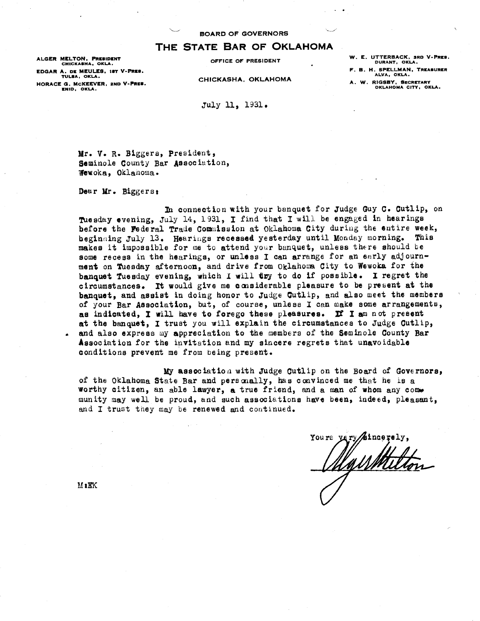### THE STATE BAR OF OKLAHOMA

**ALGER MELTON, PRESIDENT OFFICE OF PRESIDENT EDGAR A. DE MEULES, tST V-PRES. F. B. H. SPELLMAN, TREASURER TULSA, OKLA. CHICKASHA, OKLAHOMA** TULSA, OKLA.<br>HORACE G. McKEEVER, 2ND V-PRES. **A. W. RIGSBY, SECRETARY**<br>OKLAHOMA CITY, OK

**W. E. UTTERBACK, SRO V-PRES. CHICKASHA, OKA. <sup>L</sup> DURANT, OKLA.**

**F. B. H. SPELLMAN, TREASURER** 

**ENID, OKLA. OKLAHOMA CITY, OKLA.**

July 11, 1931.

Mr. V. R. Biggers, president, Seminole County Bar Association, Wewoka, ©klanoma•

Dear Mr. Biggers:

In connection with your banquet for Judge Guy C. Cutlip, on Tuesday evening, July 14, 1931, I find that I will be engaged in hearings before the Federal Trade Commission at Oklahoma City during the entire week, beginning July 13. Hearings recessed yesterday until Monday morning. This makes it impossible for me to attend your banquet, unless there should be some recess in the hearings, or unless I can arrange for an early adjournment on Tuesday afternoon, and drive from Oklahoma City to Wewoka for the banquet Tuesday evening, which I will try to do if possible. I regret the circumstances. It would give me considerable pleasure to be present at the banquet, and assist in doing honor to Judge Cutlip, and also meet the members of your Bar Association, but, of course, unless I can make some arrangements, as indicated, I will have to forego these pleasures. **If' I** am not present at the banquet, I trust you will explain the circumstances to Judge Cutlip, and also express my appreciation to the members of the Seminole County Bar Association for the invitation and my sincere regrets that unavoidable conditions prevent me from being present.

My assoeiatioa with Judge Cutlip on the Board of Governors, of the Oklahoma State Bar and personally, has convinced me that he is a worthy citizen, an able lawyer, a true friend, and a man of whom any Como munity may well be proud, and such associations have been, indeed, pleasant, and I trust they may be renewed and continued.

Yours very sincerely. llawitte

M<sup>2</sup>RK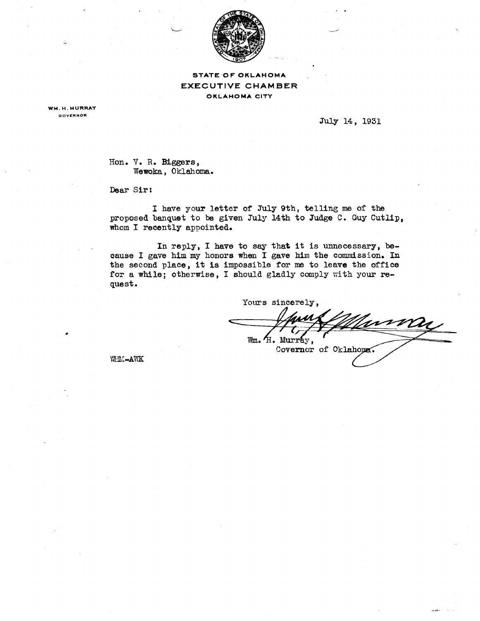

*STATE OF* OKLAHOMA **EXECUTIVE** CHAMBER OKLAHOMA CITY

**WM. H. MURRAY GOVCRNOR**

0

July 14, 1931

Hon. V. R. Biggers, Wewoka, Oklahoma.

Dear Sir:

I have your letter of July 9th, telling me of the proposed banquet to be given July 14th to Judge C. Guy Cutlip, whom I recently appointed.

In reply, I have to say that it is unnecessary, because I gave him my honors when I gave him the commission. In the second place, it is impossible for me to leave the office for a while; otherwise, I should gladly comply with your request.

Yours sincerely, Turna 11 Wm. H. Murray, Covernor of Oklahoma.

VIHM-AWK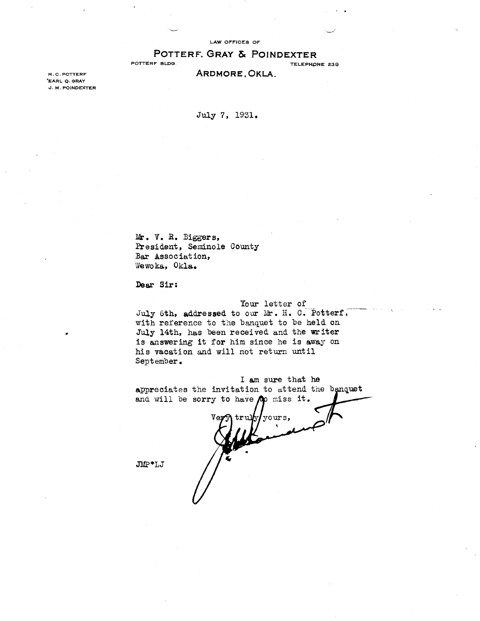LAW OFFICES OF

# **POTTERF, GRAY & POINDEXTER**<br>POTTERF BLDG.

TELEPHONE 239

H.C. POTTERF ARDMORE, OKLA.

'EARL Q. GRAY J. M. POINDEXTER

July 7, 1931.

Mr. V. R. Biggers, President, Seminole County **Bar Association, Wewoka, Okla.**

**Dear Sir:**

### **Your** letter of

*July* 6th, addressed to our Mr. H. C. Potterf, with reference to the banquet to be held on July 14th, **has** been received and the writer is answering it for him since he is away on his vacation and will not return until September.

**I am** sure that. he appreciates the invitation to attend the banquet and will be sorry to have  $\rho \rho$  miss it.

Ve j) **tru]fy**/yours, \*LJ */1*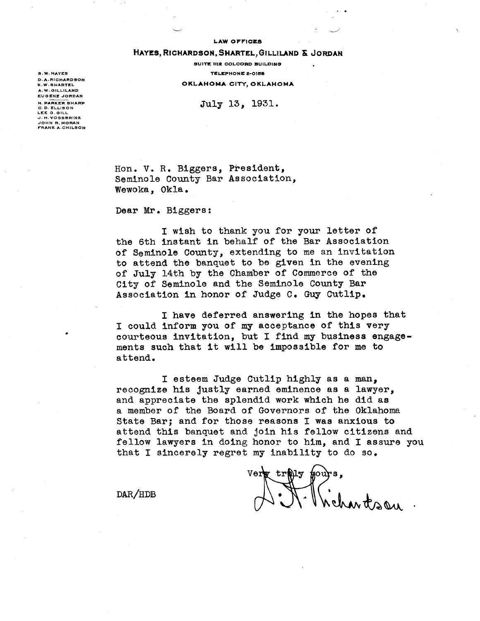#### **LAW OFF1CX5**

 $\mathcal{L}$ 

### **HAYES, RICHARDSON, SHARTEL,GILLILAND Sc JORDAN**

**SUITE 111E COLCORD BUILDING S. W. HATES TELEPHONE 2-0158 OKLAHOMA CITY, OKLAHOMA** 

H. PARKER SHARP<br>C. D. ELLISON<br> **JULY 13, 1931.** 

**D. A. RICHARD SON A. W. OILLILAND EUGENE JORDAN** LEE O. GILL J. H. **VOSSSRINK** JOHN **R. MO RAN FRANK** A.CHILSON

> Hon. V. R. Biggers, President, Seminole County Bar Association, Wewoka, Okla.

Dear Mr. Biggers:

I wish to thank you for your letter of the 6th instant in behalf of the Bar Association of Seminole County, extending to me an invitation to attend the banquet to be given in the evening of July 14th by the Chamber of Commerce of the City of Seminole and the Seminole County Bar Association in honor of Judge C. Guy Cutlip.

I have deferred answering in the hopes that I could inform you of my acceptance of this very courteous invitation, but I find my business engagements such that it will be impossible for me to attend.

I esteem Judge Cutlip highly as a man,, recognize his justly earned eminence as a lawyer, and appreciate the splendid work which he did as a member of the Board of Governors of the Oklahoma State Bar; and for those reasons I was anxious to attend this banquet and join his fellow citizens and fellow lawyers in doing honor to him, and I assure you that I sincerely regret my inability to do so.

vert troits pours,

 $\text{DAR}/\text{HDB}$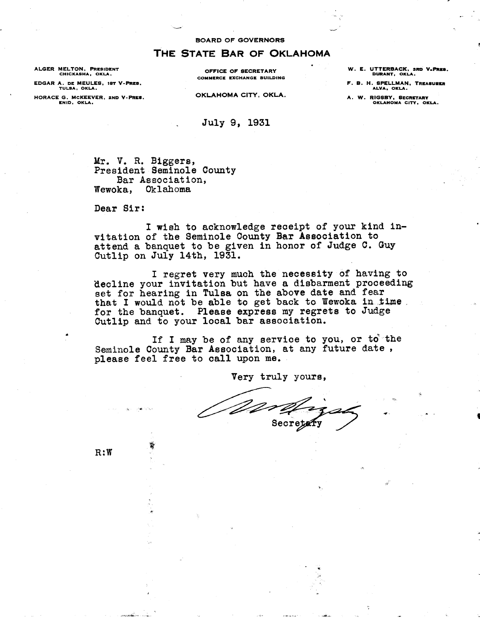# THE STATE BAR OF OKLAHOMA

**ALGER MELTON, PRESIDENT CHICKASHA, OKLA.**

**EDGAR A. DE MEULES, IS? V-PRES. TULSA, OKLA.**

**HORACE G. MCKEEVER, 2ND V-PRES. ENID, OKLA.**

**OFFICE OF SECRETARY COMMERCE EXCHANGE BUILDING**

OKLAHOMA CITY, OKLA.

July 9, 1931

**W. E. UTTERBACK, 3RD V.PRES. DURANT, OKLA.**

**F. B. H. SPELLMAN, TREASURER ALVA, OKLA.**

**A. W. RIGSBY, SECRETARY OKLAHOMA CITY, OKLA.**

Mr. V. R. Biggers, President Seminole County

Bar Association,

Wewoka, Oklahoma

Dear Sir:

I wish to acknowledge receipt of your kind invitation of the Seminole County Bar Association to attend a banquet to be given in honor of Judge C. Guy Cutlip on July 14th, 1931.

I regret very much the necessity of having to decline your invitation but have a disbarment proceeding set for hearing in Tulsa on the above date and fear that I would not be able to get back to Wewoka in time. for the banquet. Please express my regrets to Judge Cutlip and to your local bar association.

If I may be of any service to you, or to the Seminole County Bar Association, at any future date, please feel free to **call** upon me.

Very truly yours,

Worth

R:W

饕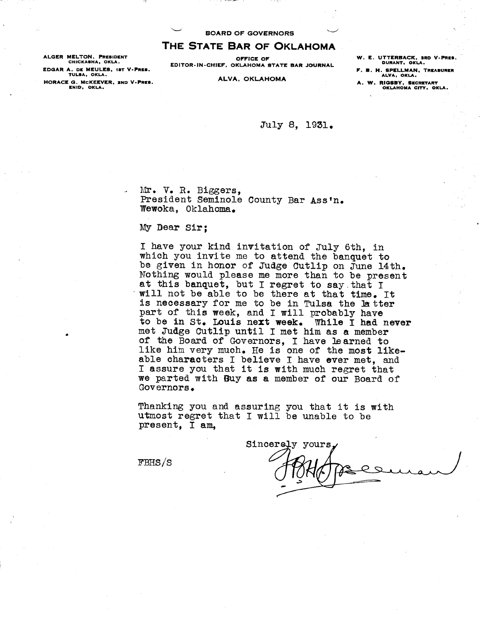**THE STATE BAR OF OKLAHOMA**

**EDGAR A. DE MEULES, 1ST V-PRES. F. B. H. SPELLMAN, TREASURER TULSA, OKLA. ALVA, OKLA. HORACE G. McKEEVER, 2ND V-PREY. ALVA, OKLAHOMA A. W. RIGSBY, SECRETARY ENID, OKLA. OKLAHOMA CITY, OKLA.**

**ALGER MELTON, PRESIDENT**<br>CHICKASHA, OKLA. **ALGER DE SOLUT A SOLUT A SERVE OF A MAGE OF A MAGE OF A MAGE OF A MAGE OF A MAGE OF A MAGE O CHITOR-IN-CHIEF, OKLAHOMA STATE BAR JOURNAL** DURANT, OKLA.<br>**E. B. H. SPELLMAN, TREASURER**<br>ALVA, OKLA.

July 8, 1931.

Mr. V. R. Biggers, President Seminole County Bar Ass'n. Wewoka, Oklahoma.

My Dear Sir;

I have your kind invitation of July 6th, in which you invite me to attend the banquet to be given in honor of Judge Cutlip on June 14th. Nothing would please me more than to be present at this banquet, but I regret to say that I 'will not be able to be there at that time. It is necessary for me to be in Tulsa the ]a tter part of this week, and I will probably have to be in St. **Louis next week. While** I had **never** met Judge Cutlip until I met him as a member of the Board of Governors, I have learned to like him very much. He is one of the most **like** able characters I believe I have ever met, and I assure you that it is with much regret that we parted with **Buy as a** member of our Board of Governors.

Thanking you and assuring you that it is with utmost regret that I will be unable to be present, I am,

Sincerely yours.

 $FBHS/S$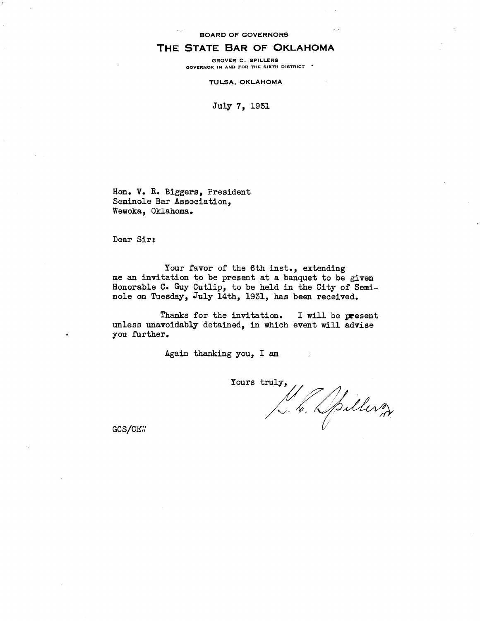## THE STATE BAR OF OKLAHOMA

**GROVER C. SPILLERS GOVERNOR IN AND FOR THE SIXTH DISTRICT**

TULSA, OKLAHOMA

July 7, 1931

Hon. V. R. Biggers, President Seminole Bar Association, Wewoka, Oklahoma,

Dear Sir:

Your favor of the 6th inst., extending me an invitation to be present at a banquet to be given Honorable C. Guy Cutlip, to be held in the City of Seminole on Tuesday, July 14th, 1931, has been received.

Thanks for the invitation. I will be **present** unless unavoidably detained, in which event will advise you further.

Again thanking you, I am

Yours truly,

GCS/CEW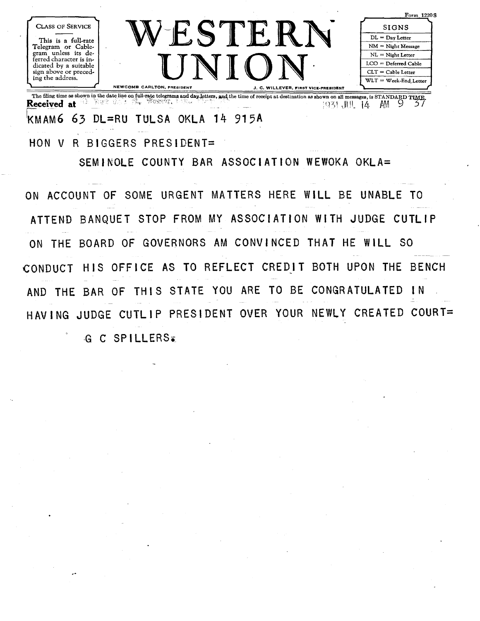| <b>CLASS OF SERVICE</b>                                                                                                                                           |                            |                                      | Form 1220S<br><b>SIGNS</b>                |
|-------------------------------------------------------------------------------------------------------------------------------------------------------------------|----------------------------|--------------------------------------|-------------------------------------------|
| This is a full-rate<br>Telegram or Cable-<br>gram unless its de-<br>ferred character is in-<br>dicated by a suitable<br>sign above or preced-<br>ing the address. |                            |                                      | $DL = Day$ Letter<br>$NM = Night Message$ |
|                                                                                                                                                                   |                            |                                      | $NL = Night Letter$                       |
|                                                                                                                                                                   |                            | $LCO = Deferred Cable$               |                                           |
|                                                                                                                                                                   |                            |                                      | $CLT = Cable Letter$                      |
|                                                                                                                                                                   |                            |                                      | $WLT = Week-End. Letter$                  |
|                                                                                                                                                                   | NEWCOMB CARLTON, PRESIDENT | J. C. WILLEVER, FIRST VICE-PRESIDENT |                                           |

The filing time as shown in the date line on full-rate telegrams, and dayletters, W4 the time of receipt at destination as shown on all messages, is STANDARD TO=. **eceived at** <sup>1</sup> JN\_AM 9 . / **R** MAM6 *63* DL=RU TULSA OKLA 14 915A

HON V R BIGGERS PRESIDENT= SEMINOLE COUNTY BAR ASSOCIATION WEWOKA OKLA=

ON ACCOUNT OF SOME URGENT MATTERS HERE WILL BE UNABLE TO ATTEND BANQUET STOP FROM MY ASSOCIATION WITH JUDGE CUTLIP ON THE BOARD OF GOVERNORS AM CONVINCED THAT HE WILL SO CONDUCT HIS OFFICE AS TO REFLECT CREDIT BOTH UPON THE BENCH AND THE BAR OF THIS STATE YOU ARE TO BE CONGRATULATED IN HAVING JUDGE CUTLIP PRESIDENT OVER YOUR NEWLY CREATED COURT= **G C SPILLERS.**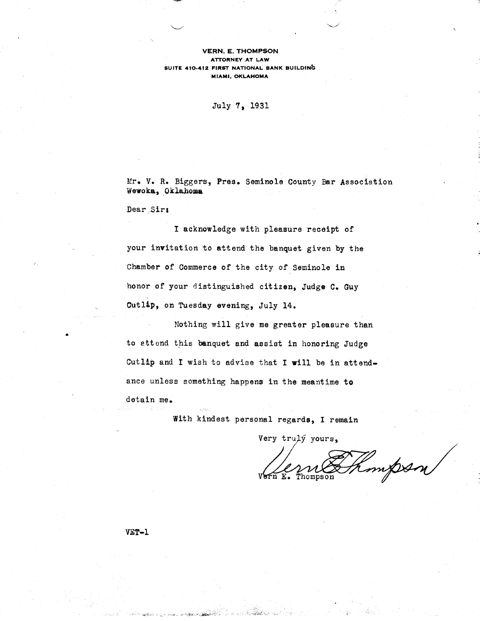### VERN. **E. THOMPSON ATTORNEY AT LAW SUITE 410-412 FIRST NATIONAL BANK BUILDING MIAMI, OKLAHOMA**

July 7, 1931

Mr. V. R. Biggers, Pres. Seminole County Bar Association Wewoka, Oklahoma

Dear Sir:

I acknowledge with pleasure receipt of your invitation to attend the banquet given by the Chamber of Commerce of the city of Seminole in honor of your distinguished citizen, Judge C. Guy Cutlip, on Tuesday evening, July 14.

Nothing will give me greater pleasure than • to attend this banquet and assist in *honoring* Judge Cutlip and I wish to advise that I will be in attendance unless something happens in the meantime to detain me.

With kindest personal regards, I remain

Very truly yours,

mpsn Thompson

### VET-1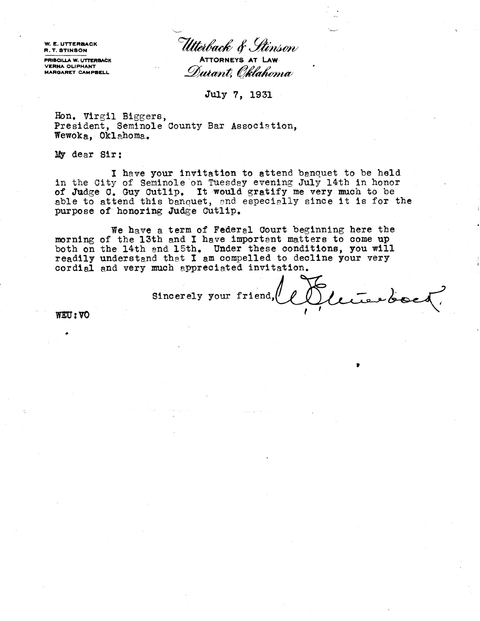**W. E. UTTERBACK**

**VERNA OLIPHANT -.**

W. E. UTTERBACK<br>R. T. STINSON<br>PRISCILLA W. UTTERBACK **ATTORNEYS AT LAW ATTORNEYS AT LAW.** Durant, Oklah*oma* 

**July 7, 1931**

**Hon. Virgil** Biggers, President, Seminole County Bar Association, Wewoka, Oklahoma.

My dear Sir:

I have your invitation to attend banquet to be held in the City of Seminole on Tuesday evening July 14th in honor of Judge C. Guy Cutlip. **It would** gratify me very much to be able to attend this banquet, and especially since it is for the purpose of honoring Judge Cutlip.

We have a term of Federal Court beginning here the morning of the 13th and I have important matters to come up both on the 14th and 15th. Under these conditions, you will readily understand that I am compelled to decline your very cordial and very much appreciated invitation.

Sincerely your friend, COUverte doct.

**WU:VO**